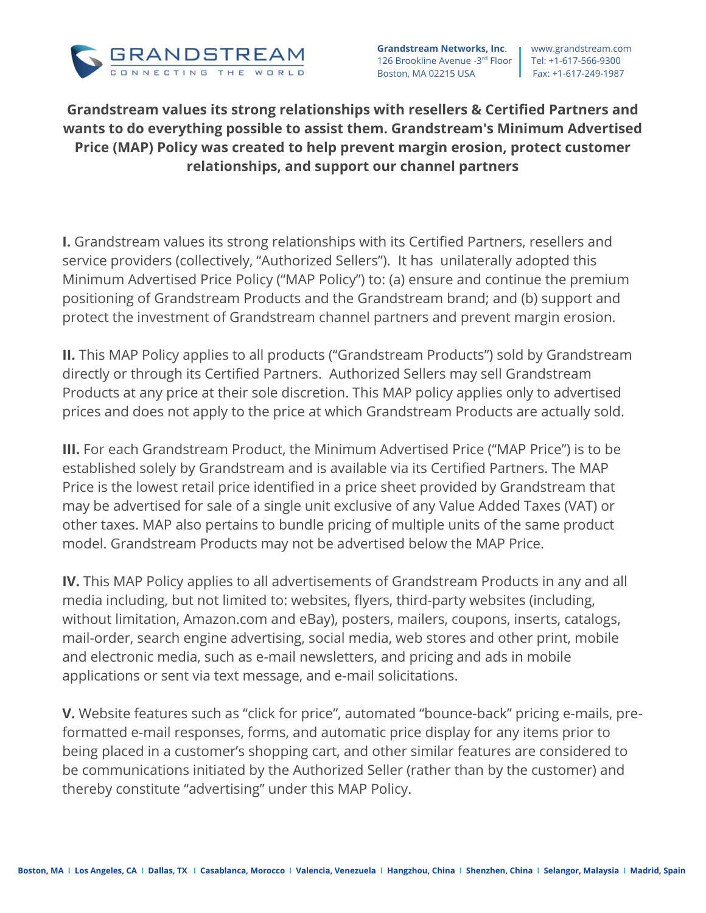

**Grandstream Networks, Inc.** | www.grandstream.com 126 Brookline Avenue -3rd Floor | Tel: +1-617-566-9300 Boston, MA 02215 USA Fax: +1-617-249-1987

## **Grandstream values its strong relationships with resellers & Certified Partners and wants to do everything possible to assist them. Grandstream's Minimum Advertised Price (MAP) Policy was created to help prevent margin erosion, protect customer relationships, and support our channel partners**

**I.** Grandstream values its strong relationships with its Certified Partners, resellers and service providers (collectively, "Authorized Sellers"). It has unilaterally adopted this Minimum Advertised Price Policy ("MAP Policy") to: (a) ensure and continue the premium positioning of Grandstream Products and the Grandstream brand; and (b) support and protect the investment of Grandstream channel partners and prevent margin erosion.

**II.** This MAP Policy applies to all products ("Grandstream Products") sold by Grandstream directly or through its Certified Partners. Authorized Sellers may sell Grandstream Products at any price at their sole discretion. This MAP policy applies only to advertised prices and does not apply to the price at which Grandstream Products are actually sold.

**III.** For each Grandstream Product, the Minimum Advertised Price ("MAP Price") is to be established solely by Grandstream and is available via its Certified Partners. The MAP Price is the lowest retail price identified in a price sheet provided by Grandstream that may be advertised for sale of a single unit exclusive of any Value Added Taxes (VAT) or other taxes. MAP also pertains to bundle pricing of multiple units of the same product model. Grandstream Products may not be advertised below the MAP Price.

**IV.** This MAP Policy applies to all advertisements of Grandstream Products in any and all media including, but not limited to: websites, flyers, third-party websites (including, without limitation, Amazon.com and eBay), posters, mailers, coupons, inserts, catalogs, mail-order, search engine advertising, social media, web stores and other print, mobile and electronic media, such as e-mail newsletters, and pricing and ads in mobile applications or sent via text message, and e-mail solicitations.

**V.** Website features such as "click for price", automated "bounce-back" pricing e-mails, preformatted e-mail responses, forms, and automatic price display for any items prior to being placed in a customer's shopping cart, and other similar features are considered to be communications initiated by the Authorized Seller (rather than by the customer) and thereby constitute "advertising" under this MAP Policy.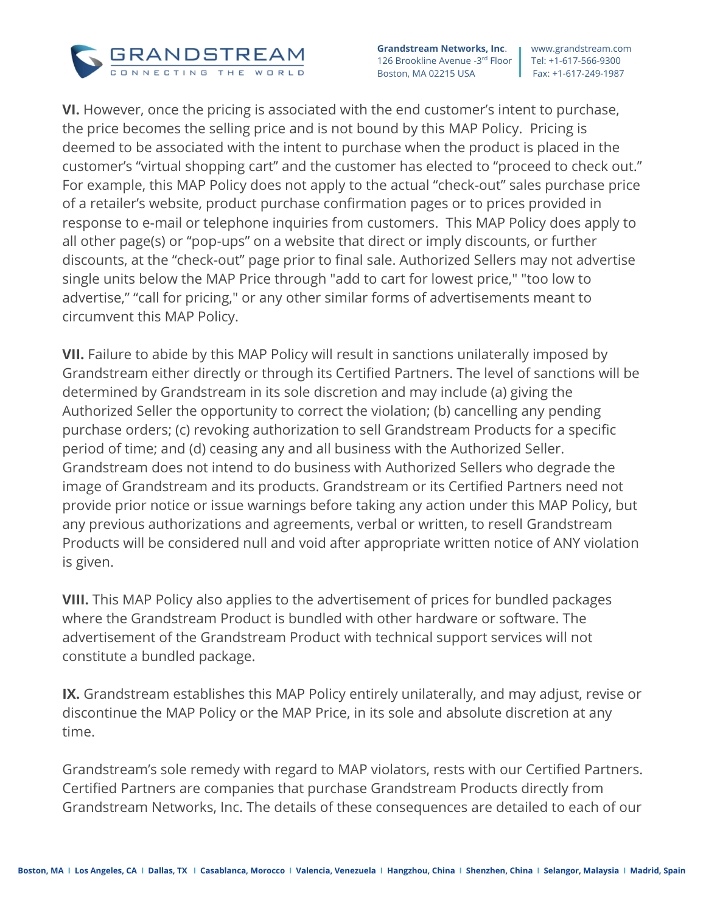

**Grandstream Networks, Inc.** | www.grandstream.com 126 Brookline Avenue -3rd Floor | Tel: +1-617-566-9300 Boston, MA 02215 USA Fax: +1-617-249-1987

**VI.** However, once the pricing is associated with the end customer's intent to purchase, the price becomes the selling price and is not bound by this MAP Policy. Pricing is deemed to be associated with the intent to purchase when the product is placed in the customer's "virtual shopping cart" and the customer has elected to "proceed to check out." For example, this MAP Policy does not apply to the actual "check-out" sales purchase price of a retailer's website, product purchase confirmation pages or to prices provided in response to e-mail or telephone inquiries from customers. This MAP Policy does apply to all other page(s) or "pop-ups" on a website that direct or imply discounts, or further discounts, at the "check-out" page prior to final sale. Authorized Sellers may not advertise single units below the MAP Price through "add to cart for lowest price," "too low to advertise," "call for pricing," or any other similar forms of advertisements meant to circumvent this MAP Policy.

**VII.** Failure to abide by this MAP Policy will result in sanctions unilaterally imposed by Grandstream either directly or through its Certified Partners. The level of sanctions will be determined by Grandstream in its sole discretion and may include (a) giving the Authorized Seller the opportunity to correct the violation; (b) cancelling any pending purchase orders; (c) revoking authorization to sell Grandstream Products for a specific period of time; and (d) ceasing any and all business with the Authorized Seller. Grandstream does not intend to do business with Authorized Sellers who degrade the image of Grandstream and its products. Grandstream or its Certified Partners need not provide prior notice or issue warnings before taking any action under this MAP Policy, but any previous authorizations and agreements, verbal or written, to resell Grandstream Products will be considered null and void after appropriate written notice of ANY violation is given.

**VIII.** This MAP Policy also applies to the advertisement of prices for bundled packages where the Grandstream Product is bundled with other hardware or software. The advertisement of the Grandstream Product with technical support services will not constitute a bundled package.

**IX.** Grandstream establishes this MAP Policy entirely unilaterally, and may adjust, revise or discontinue the MAP Policy or the MAP Price, in its sole and absolute discretion at any time.

Grandstream's sole remedy with regard to MAP violators, rests with our Certified Partners. Certified Partners are companies that purchase Grandstream Products directly from Grandstream Networks, Inc. The details of these consequences are detailed to each of our